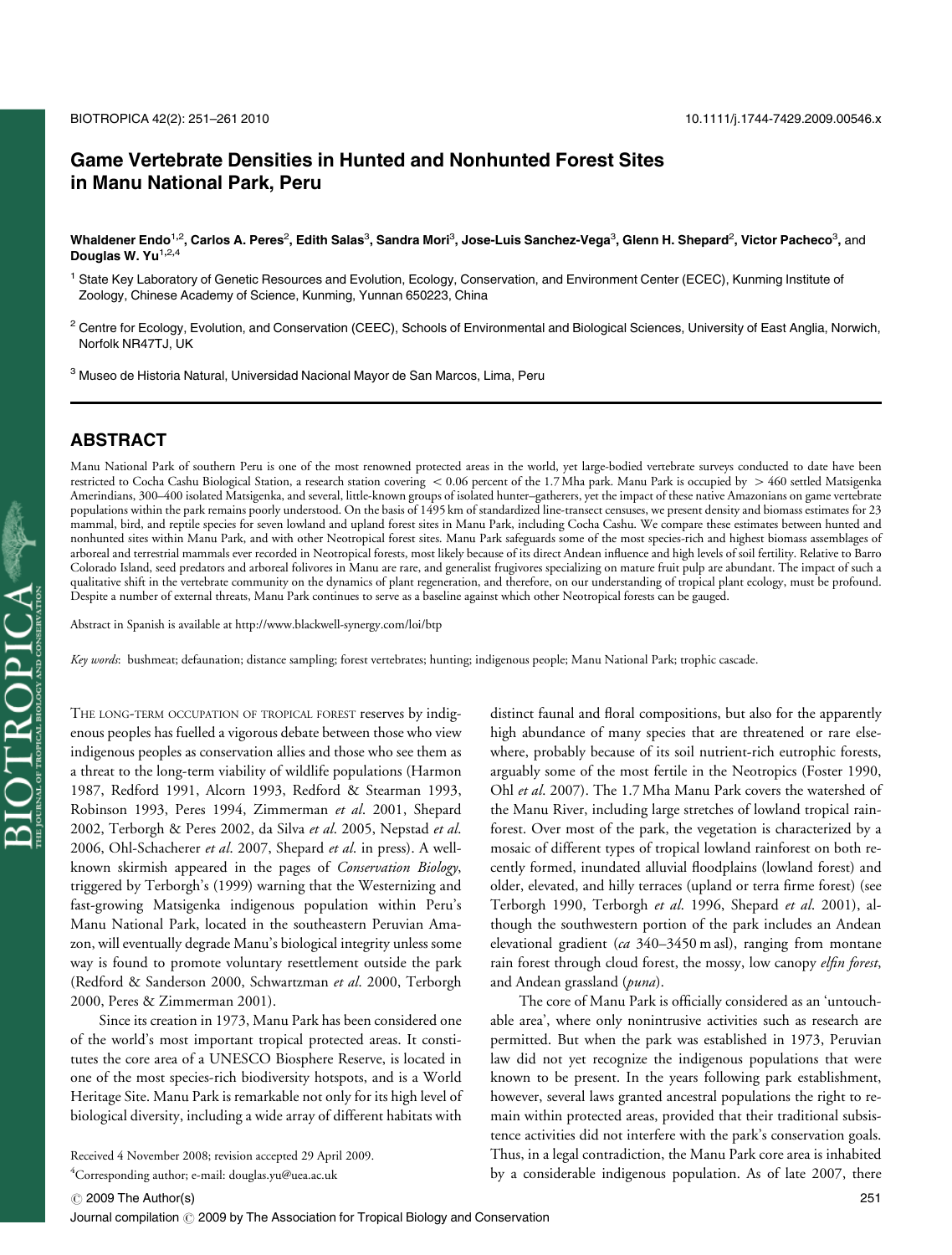#### BIOTROPICA 42(2): 251–261 2010 10.1111/j.1744-7429.2009.00546.x

# Game Vertebrate Densities in Hunted and Nonhunted Forest Sites in Manu National Park, Peru

Whaldener Endo<sup>1,2</sup>, Carlos A. Peres<sup>2</sup>, Edith Salas<sup>3</sup>, Sandra Mori<sup>3</sup>, Jose-Luis Sanchez-Vega<sup>3</sup>, Glenn H. Shepard<sup>2</sup>, Victor Pacheco<sup>3</sup>, and Douglas W. Yu<sup>1,2,4</sup>

<sup>1</sup> State Key Laboratory of Genetic Resources and Evolution, Ecology, Conservation, and Environment Center (ECEC), Kunming Institute of Zoology, Chinese Academy of Science, Kunming, Yunnan 650223, China

 $2$  Centre for Ecology, Evolution, and Conservation (CEEC), Schools of Environmental and Biological Sciences, University of East Anglia, Norwich, Norfolk NR47TJ, UK

<sup>3</sup> Museo de Historia Natural, Universidad Nacional Mayor de San Marcos, Lima, Peru

### ABSTRACT

Manu National Park of southern Peru is one of the most renowned protected areas in the world, yet large-bodied vertebrate surveys conducted to date have been restricted to Cocha Cashu Biological Station, a research station covering < 0.06 percent of the 1.7 Mha park. Manu Park is occupied by > 460 settled Matsigenka Amerindians, 300–400 isolated Matsigenka, and several, little-known groups of isolated hunter–gatherers, yet the impact of these native Amazonians on game vertebrate populations within the park remains poorly understood. On the basis of 1495 km of standardized line-transect censuses, we present density and biomass estimates for 23 mammal, bird, and reptile species for seven lowland and upland forest sites in Manu Park, including Cocha Cashu. We compare these estimates between hunted and nonhunted sites within Manu Park, and with other Neotropical forest sites. Manu Park safeguards some of the most species-rich and highest biomass assemblages of arboreal and terrestrial mammals ever recorded in Neotropical forests, most likely because of its direct Andean influence and high levels of soil fertility. Relative to Barro Colorado Island, seed predators and arboreal folivores in Manu are rare, and generalist frugivores specializing on mature fruit pulp are abundant. The impact of such a qualitative shift in the vertebrate community on the dynamics of plant regeneration, and therefore, on our understanding of tropical plant ecology, must be profound. Despite a number of external threats, Manu Park continues to serve as a baseline against which other Neotropical forests can be gauged.

Abstract in Spanish is available at<http://www.blackwell-synergy.com/loi/btp>

Key words: bushmeat; defaunation; distance sampling; forest vertebrates; hunting; indigenous people; Manu National Park; trophic cascade.

THE LONG-TERM OCCUPATION OF TROPICAL FOREST reserves by indigenous peoples has fuelled a vigorous debate between those who view indigenous peoples as conservation allies and those who see them as a threat to the long-term viability of wildlife populations (Harmon 1987, Redford 1991, Alcorn 1993, Redford & Stearman 1993, Robinson 1993, Peres 1994, Zimmerman et al. 2001, Shepard 2002, Terborgh & Peres 2002, da Silva et al. 2005, Nepstad et al. 2006, Ohl-Schacherer et al. 2007, Shepard et al. in press). A wellknown skirmish appeared in the pages of Conservation Biology, triggered by Terborgh's (1999) warning that the Westernizing and fast-growing Matsigenka indigenous population within Peru's Manu National Park, located in the southeastern Peruvian Amazon, will eventually degrade Manu's biological integrity unless some way is found to promote voluntary resettlement outside the park (Redford & Sanderson 2000, Schwartzman et al. 2000, Terborgh 2000, Peres & Zimmerman 2001).

Since its creation in 1973, Manu Park has been considered one of the world's most important tropical protected areas. It constitutes the core area of a UNESCO Biosphere Reserve, is located in one of the most species-rich biodiversity hotspots, and is a World Heritage Site. Manu Park is remarkable not only for its high level of biological diversity, including a wide array of different habitats with

Received 4 November 2008; revision accepted 29 April 2009.

distinct faunal and floral compositions, but also for the apparently high abundance of many species that are threatened or rare elsewhere, probably because of its soil nutrient-rich eutrophic forests, arguably some of the most fertile in the Neotropics (Foster 1990, Ohl et al. 2007). The 1.7 Mha Manu Park covers the watershed of the Manu River, including large stretches of lowland tropical rainforest. Over most of the park, the vegetation is characterized by a mosaic of different types of tropical lowland rainforest on both recently formed, inundated alluvial floodplains (lowland forest) and older, elevated, and hilly terraces (upland or terra firme forest) (see Terborgh 1990, Terborgh et al. 1996, Shepard et al. 2001), although the southwestern portion of the park includes an Andean elevational gradient ( $ca$  340–3450 m asl), ranging from montane rain forest through cloud forest, the mossy, low canopy elfin forest, and Andean grassland (puna).

The core of Manu Park is officially considered as an 'untouchable area', where only nonintrusive activities such as research are permitted. But when the park was established in 1973, Peruvian law did not yet recognize the indigenous populations that were known to be present. In the years following park establishment, however, several laws granted ancestral populations the right to remain within protected areas, provided that their traditional subsistence activities did not interfere with the park's conservation goals. Thus, in a legal contradiction, the Manu Park core area is inhabited by a considerable indigenous population. As of late 2007, there

<sup>4</sup> Corresponding author; e-mail: [douglas.yu@uea.ac.uk](mailto:douglas.yu@uea.ac.uk)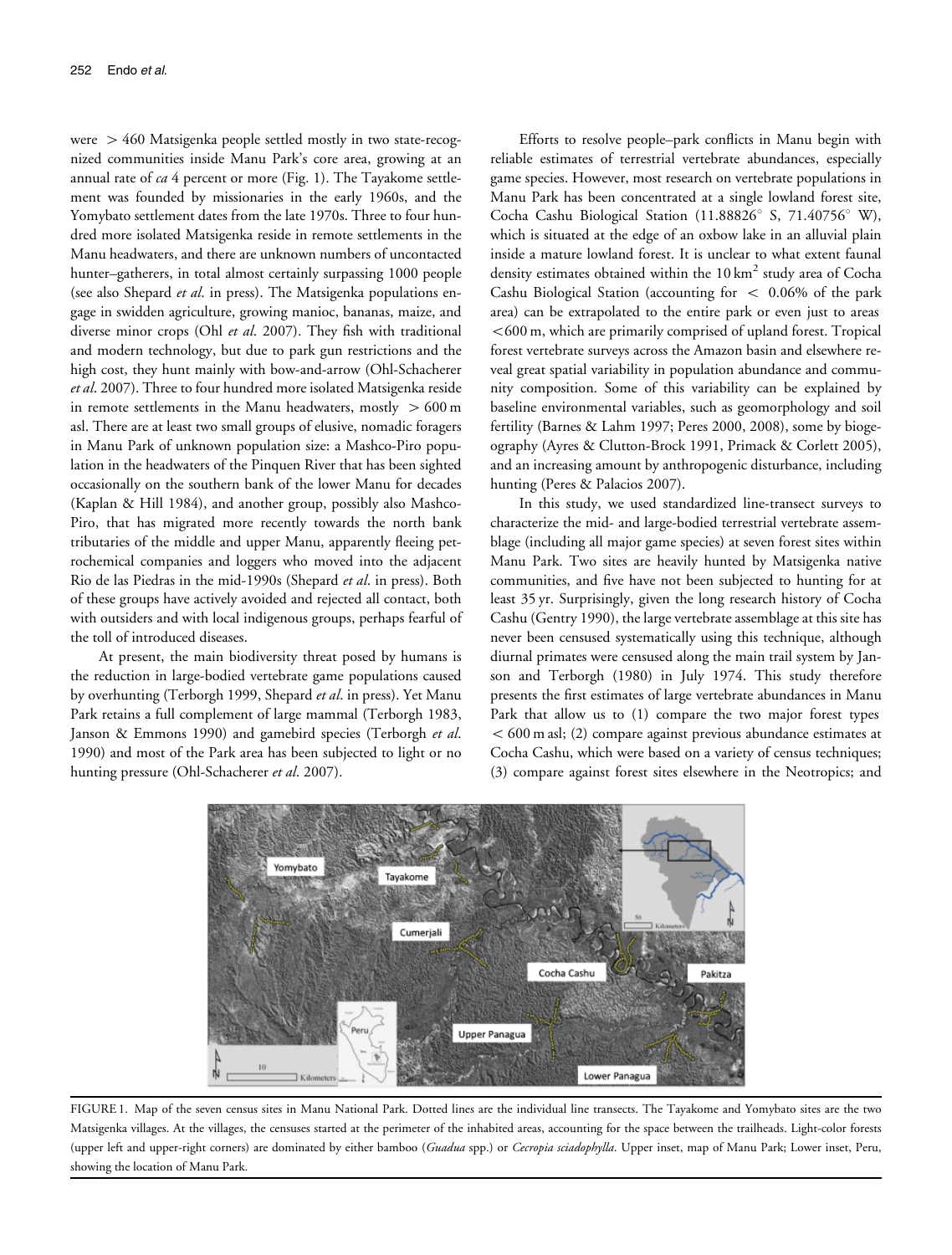were  $> 460$  Matsigenka people settled mostly in two state-recognized communities inside Manu Park's core area, growing at an annual rate of  $ca$  4 percent or more (Fig. 1). The Tayakome settlement was founded by missionaries in the early 1960s, and the Yomybato settlement dates from the late 1970s. Three to four hundred more isolated Matsigenka reside in remote settlements in the Manu headwaters, and there are unknown numbers of uncontacted hunter–gatherers, in total almost certainly surpassing 1000 people (see also Shepard et al. in press). The Matsigenka populations engage in swidden agriculture, growing manioc, bananas, maize, and diverse minor crops (Ohl et al. 2007). They fish with traditional and modern technology, but due to park gun restrictions and the high cost, they hunt mainly with bow-and-arrow (Ohl-Schacherer et al. 2007). Three to four hundred more isolated Matsigenka reside in remote settlements in the Manu headwaters, mostly  $> 600 \text{ m}$ asl. There are at least two small groups of elusive, nomadic foragers in Manu Park of unknown population size: a Mashco-Piro population in the headwaters of the Pinquen River that has been sighted occasionally on the southern bank of the lower Manu for decades (Kaplan & Hill 1984), and another group, possibly also Mashco-Piro, that has migrated more recently towards the north bank tributaries of the middle and upper Manu, apparently fleeing petrochemical companies and loggers who moved into the adjacent Rio de las Piedras in the mid-1990s (Shepard et al. in press). Both of these groups have actively avoided and rejected all contact, both with outsiders and with local indigenous groups, perhaps fearful of the toll of introduced diseases.

At present, the main biodiversity threat posed by humans is the reduction in large-bodied vertebrate game populations caused by overhunting (Terborgh 1999, Shepard et al. in press). Yet Manu Park retains a full complement of large mammal (Terborgh 1983, Janson & Emmons 1990) and gamebird species (Terborgh et al. 1990) and most of the Park area has been subjected to light or no hunting pressure (Ohl-Schacherer et al. 2007).

Efforts to resolve people–park conflicts in Manu begin with reliable estimates of terrestrial vertebrate abundances, especially game species. However, most research on vertebrate populations in Manu Park has been concentrated at a single lowland forest site, Cocha Cashu Biological Station (11.88826 $\degree$  S, 71.40756 $\degree$  W), which is situated at the edge of an oxbow lake in an alluvial plain inside a mature lowland forest. It is unclear to what extent faunal density estimates obtained within the 10 km<sup>2</sup> study area of Cocha Cashu Biological Station (accounting for  $\langle 0.06\% \rangle$  of the park area) can be extrapolated to the entire park or even just to areas  $<$  600 m, which are primarily comprised of upland forest. Tropical forest vertebrate surveys across the Amazon basin and elsewhere reveal great spatial variability in population abundance and community composition. Some of this variability can be explained by baseline environmental variables, such as geomorphology and soil fertility (Barnes & Lahm 1997; Peres 2000, 2008), some by biogeography (Ayres & Clutton-Brock 1991, Primack & Corlett 2005), and an increasing amount by anthropogenic disturbance, including hunting (Peres & Palacios 2007).

In this study, we used standardized line-transect surveys to characterize the mid- and large-bodied terrestrial vertebrate assemblage (including all major game species) at seven forest sites within Manu Park. Two sites are heavily hunted by Matsigenka native communities, and five have not been subjected to hunting for at least 35 yr. Surprisingly, given the long research history of Cocha Cashu (Gentry 1990), the large vertebrate assemblage at this site has never been censused systematically using this technique, although diurnal primates were censused along the main trail system by Janson and Terborgh (1980) in July 1974. This study therefore presents the first estimates of large vertebrate abundances in Manu Park that allow us to (1) compare the two major forest types  $< 600$  m asl; (2) compare against previous abundance estimates at Cocha Cashu, which were based on a variety of census techniques; (3) compare against forest sites elsewhere in the Neotropics; and



FIGURE 1. Map of the seven census sites in Manu National Park. Dotted lines are the individual line transects. The Tayakome and Yomybato sites are the two Matsigenka villages. At the villages, the censuses started at the perimeter of the inhabited areas, accounting for the space between the trailheads. Light-color forests (upper left and upper-right corners) are dominated by either bamboo (Guadua spp.) or Cecropia sciadophylla. Upper inset, map of Manu Park; Lower inset, Peru, showing the location of Manu Park.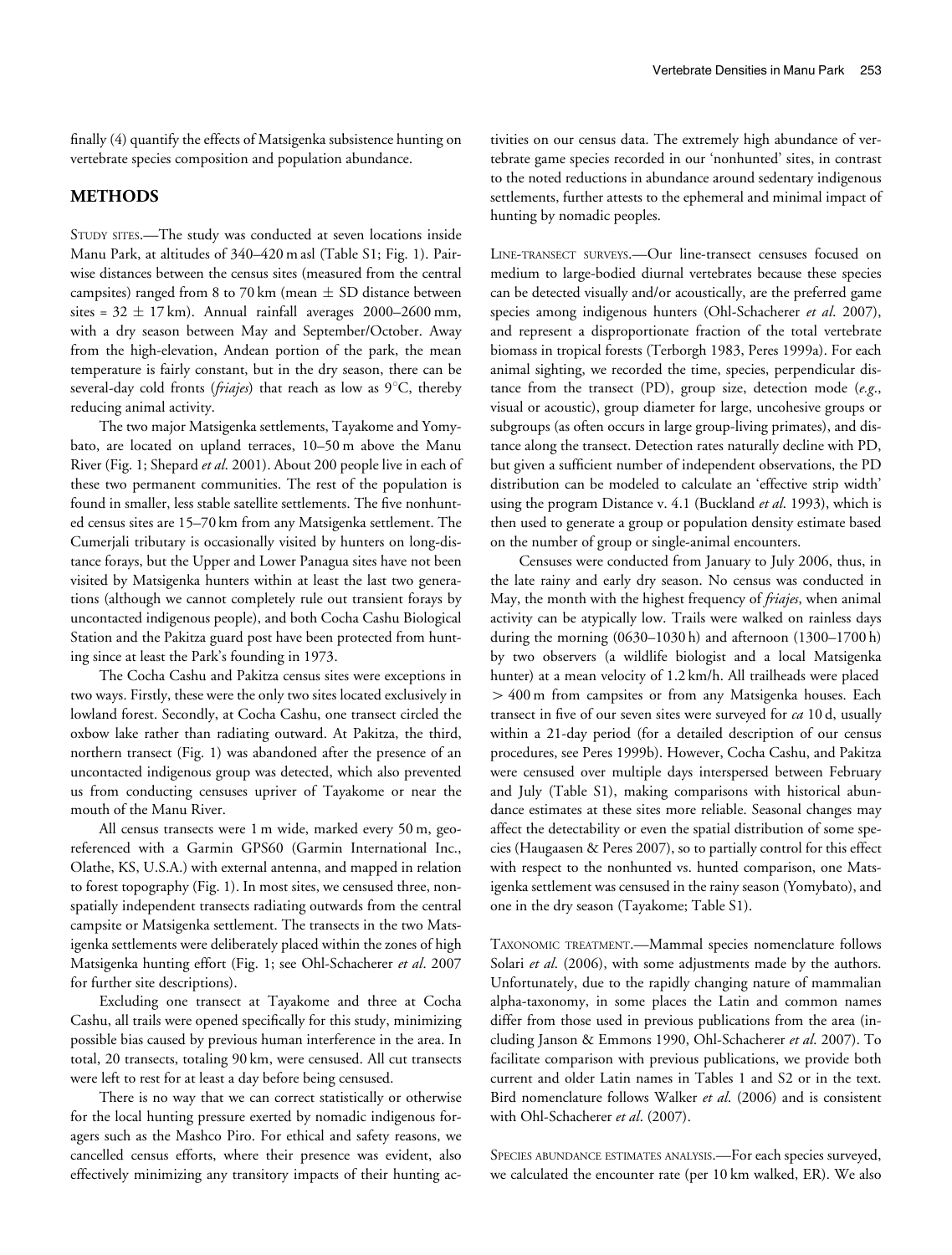finally (4) quantify the effects of Matsigenka subsistence hunting on vertebrate species composition and population abundance.

### METHODS

STUDY SITES.—The study was conducted at seven locations inside Manu Park, at altitudes of 340–420 m asl (Table S1; Fig. 1). Pairwise distances between the census sites (measured from the central campsites) ranged from 8 to 70 km (mean  $\pm$  SD distance between  $sites = 32 \pm 17 km$ ). Annual rainfall averages 2000–2600 mm, with a dry season between May and September/October. Away from the high-elevation, Andean portion of the park, the mean temperature is fairly constant, but in the dry season, there can be several-day cold fronts (*friajes*) that reach as low as  $9^{\circ}$ C, thereby reducing animal activity.

The two major Matsigenka settlements, Tayakome and Yomybato, are located on upland terraces, 10–50 m above the Manu River (Fig. 1; Shepard et al. 2001). About 200 people live in each of these two permanent communities. The rest of the population is found in smaller, less stable satellite settlements. The five nonhunted census sites are 15–70 km from any Matsigenka settlement. The Cumerjali tributary is occasionally visited by hunters on long-distance forays, but the Upper and Lower Panagua sites have not been visited by Matsigenka hunters within at least the last two generations (although we cannot completely rule out transient forays by uncontacted indigenous people), and both Cocha Cashu Biological Station and the Pakitza guard post have been protected from hunting since at least the Park's founding in 1973.

The Cocha Cashu and Pakitza census sites were exceptions in two ways. Firstly, these were the only two sites located exclusively in lowland forest. Secondly, at Cocha Cashu, one transect circled the oxbow lake rather than radiating outward. At Pakitza, the third, northern transect (Fig. 1) was abandoned after the presence of an uncontacted indigenous group was detected, which also prevented us from conducting censuses upriver of Tayakome or near the mouth of the Manu River.

All census transects were 1 m wide, marked every 50 m, georeferenced with a Garmin GPS60 (Garmin International Inc., Olathe, KS, U.S.A.) with external antenna, and mapped in relation to forest topography (Fig. 1). In most sites, we censused three, nonspatially independent transects radiating outwards from the central campsite or Matsigenka settlement. The transects in the two Matsigenka settlements were deliberately placed within the zones of high Matsigenka hunting effort (Fig. 1; see Ohl-Schacherer et al. 2007 for further site descriptions).

Excluding one transect at Tayakome and three at Cocha Cashu, all trails were opened specifically for this study, minimizing possible bias caused by previous human interference in the area. In total, 20 transects, totaling 90 km, were censused. All cut transects were left to rest for at least a day before being censused.

There is no way that we can correct statistically or otherwise for the local hunting pressure exerted by nomadic indigenous foragers such as the Mashco Piro. For ethical and safety reasons, we cancelled census efforts, where their presence was evident, also effectively minimizing any transitory impacts of their hunting ac-

tivities on our census data. The extremely high abundance of vertebrate game species recorded in our 'nonhunted' sites, in contrast to the noted reductions in abundance around sedentary indigenous settlements, further attests to the ephemeral and minimal impact of hunting by nomadic peoples.

LINE-TRANSECT SURVEYS.—Our line-transect censuses focused on medium to large-bodied diurnal vertebrates because these species can be detected visually and/or acoustically, are the preferred game species among indigenous hunters (Ohl-Schacherer et al. 2007), and represent a disproportionate fraction of the total vertebrate biomass in tropical forests (Terborgh 1983, Peres 1999a). For each animal sighting, we recorded the time, species, perpendicular distance from the transect (PD), group size, detection mode  $(e.g.,$ visual or acoustic), group diameter for large, uncohesive groups or subgroups (as often occurs in large group-living primates), and distance along the transect. Detection rates naturally decline with PD, but given a sufficient number of independent observations, the PD distribution can be modeled to calculate an 'effective strip width' using the program Distance v. 4.1 (Buckland et al. 1993), which is then used to generate a group or population density estimate based on the number of group or single-animal encounters.

Censuses were conducted from January to July 2006, thus, in the late rainy and early dry season. No census was conducted in May, the month with the highest frequency of *friajes*, when animal activity can be atypically low. Trails were walked on rainless days during the morning (0630–1030 h) and afternoon (1300–1700 h) by two observers (a wildlife biologist and a local Matsigenka hunter) at a mean velocity of 1.2 km/h. All trailheads were placed 4 400 m from campsites or from any Matsigenka houses. Each transect in five of our seven sites were surveyed for ca 10 d, usually within a 21-day period (for a detailed description of our census procedures, see Peres 1999b). However, Cocha Cashu, and Pakitza were censused over multiple days interspersed between February and July (Table S1), making comparisons with historical abundance estimates at these sites more reliable. Seasonal changes may affect the detectability or even the spatial distribution of some species (Haugaasen & Peres 2007), so to partially control for this effect with respect to the nonhunted vs. hunted comparison, one Matsigenka settlement was censused in the rainy season (Yomybato), and one in the dry season (Tayakome; Table S1).

TAXONOMIC TREATMENT.—Mammal species nomenclature follows Solari et al. (2006), with some adjustments made by the authors. Unfortunately, due to the rapidly changing nature of mammalian alpha-taxonomy, in some places the Latin and common names differ from those used in previous publications from the area (including Janson & Emmons 1990, Ohl-Schacherer et al. 2007). To facilitate comparison with previous publications, we provide both current and older Latin names in Tables 1 and S2 or in the text. Bird nomenclature follows Walker et al. (2006) and is consistent with Ohl-Schacherer et al. (2007).

SPECIES ABUNDANCE ESTIMATES ANALYSIS.—For each species surveyed, we calculated the encounter rate (per 10 km walked, ER). We also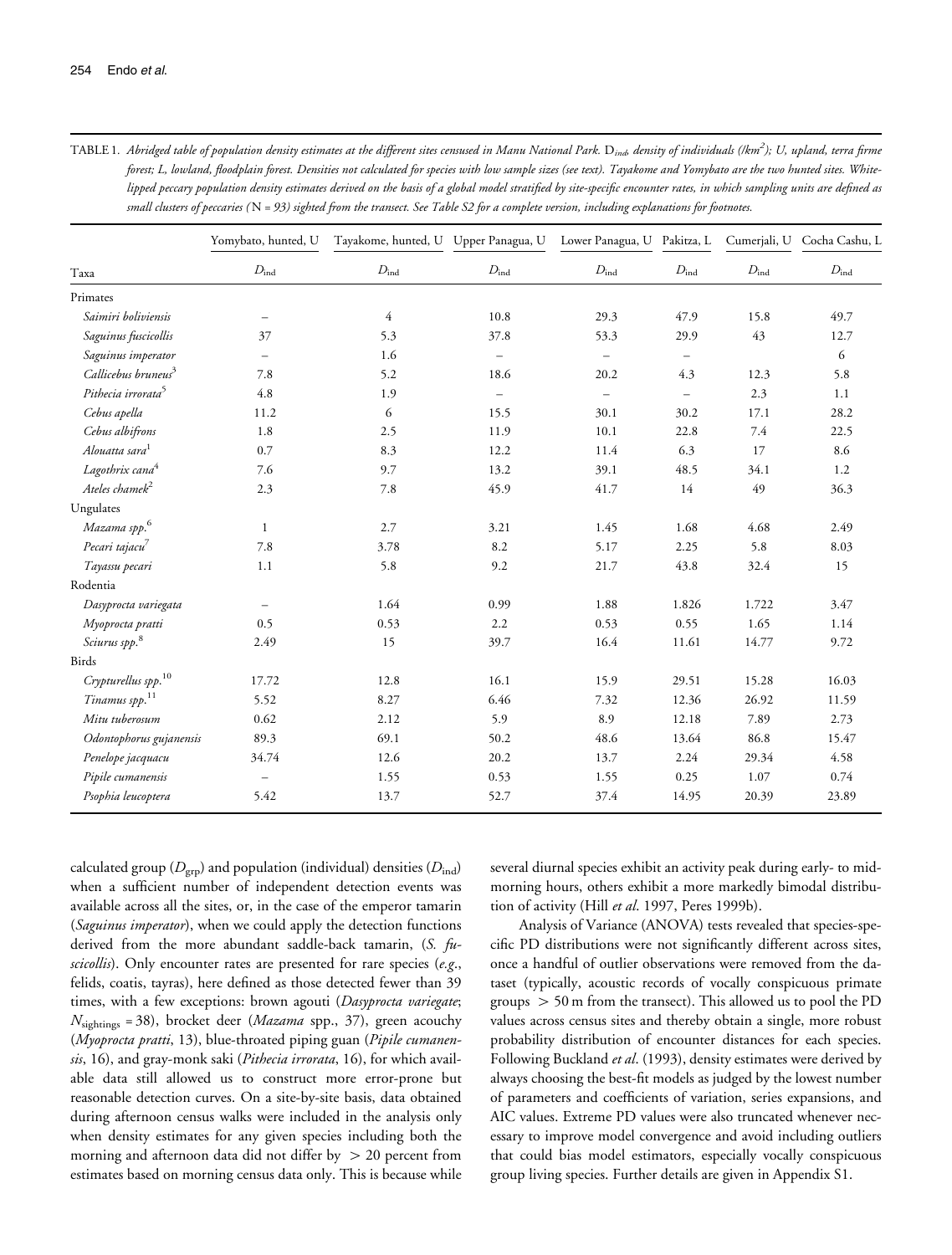|                                 | Yomybato, hunted, U      | Tayakome, hunted, U Upper Panagua, U |                          | Lower Panagua, U Pakitza, L |                          | Cumerjali, U     | Cocha Cashu, L<br>$D_{\text{ind}}$ |  |
|---------------------------------|--------------------------|--------------------------------------|--------------------------|-----------------------------|--------------------------|------------------|------------------------------------|--|
| Taxa                            | $D_{\text{ind}}$         | $D_{\text{ind}}$                     | $D_{\text{ind}}$         | $D_{\text{ind}}$            | $D_{\rm ind}$            | $D_{\text{ind}}$ |                                    |  |
| Primates                        |                          |                                      |                          |                             |                          |                  |                                    |  |
| Saimiri boliviensis             | $\overline{\phantom{0}}$ | $\overline{4}$                       | 10.8                     | 29.3                        | 47.9                     | 15.8             | 49.7                               |  |
| Saguinus fuscicollis            | 37                       | 5.3                                  | 37.8                     | 53.3                        | 29.9                     | 43               | 12.7                               |  |
| Saguinus imperator              | $\qquad \qquad -$        | 1.6                                  | $\overline{\phantom{m}}$ | $\overline{\phantom{m}}$    | $\overline{\phantom{0}}$ |                  | 6                                  |  |
| Callicebus bruneus <sup>3</sup> | 7.8                      | 5.2                                  | 18.6                     | 20.2                        | 4.3                      | 12.3             | 5.8                                |  |
| Pithecia irrorata <sup>5</sup>  | 4.8                      | 1.9                                  | $\overline{\phantom{m}}$ | $\overline{\phantom{m}}$    | $\equiv$                 | 2.3              | 1.1                                |  |
| Cebus apella                    | 11.2                     | 6                                    | 15.5                     | 30.1                        | 30.2                     | 17.1             | 28.2                               |  |
| Cebus albifrons                 | 1.8                      | 2.5                                  | 11.9                     | 10.1                        | 22.8                     | 7.4              | 22.5                               |  |
| Alouatta sara <sup>1</sup>      | 0.7                      | 8.3                                  | 12.2                     | 11.4                        | 6.3                      | 17               | 8.6                                |  |
| Lagothrix cana <sup>4</sup>     | 7.6                      | 9.7                                  | 13.2                     | 39.1                        | 48.5                     | 34.1             | 1.2                                |  |
| Ateles chamek <sup>2</sup>      | 2.3                      | 7.8                                  | 45.9                     | 41.7                        | 14                       | 49               | 36.3                               |  |
| Ungulates                       |                          |                                      |                          |                             |                          |                  |                                    |  |
| Mazama spp. <sup>6</sup>        | $\mathbf{1}$             | 2.7                                  | 3.21                     | 1.45                        | 1.68                     | 4.68             | 2.49                               |  |
| Pecari tajacu <sup>7</sup>      | 7.8                      | 3.78                                 | 8.2                      | 5.17                        | 2.25                     | 5.8              | 8.03                               |  |
| Tayassu pecari                  | 1.1                      | 5.8                                  | 9.2                      | 21.7                        | 43.8                     | 32.4             | 15                                 |  |
| Rodentia                        |                          |                                      |                          |                             |                          |                  |                                    |  |
| Dasyprocta variegata            | $\qquad \qquad -$        | 1.64                                 | 0.99                     | 1.88                        | 1.826                    | 1.722            | 3.47                               |  |
| Myoprocta pratti                | 0.5                      | 0.53                                 | 2.2                      | 0.53                        | 0.55                     | 1.65             | 1.14                               |  |
| Sciurus spp. <sup>8</sup>       | 2.49                     | 15                                   | 39.7                     | 16.4                        | 11.61                    | 14.77            | 9.72                               |  |
| Birds                           |                          |                                      |                          |                             |                          |                  |                                    |  |
| Crypturellus spp. <sup>10</sup> | 17.72                    | 12.8                                 | 16.1                     | 15.9                        | 29.51                    | 15.28            | 16.03                              |  |
| Tinamus spp. <sup>11</sup>      | 5.52                     | 8.27                                 | 6.46                     | 7.32                        | 12.36                    | 26.92            | 11.59                              |  |
| Mitu tuberosum                  | 0.62                     | 2.12                                 | 5.9                      | 8.9                         | 12.18                    | 7.89             | 2.73                               |  |
| Odontophorus gujanensis         | 89.3                     | 69.1                                 | 50.2                     | 48.6                        | 13.64                    | 86.8             | 15.47                              |  |
| Penelope jacquacu               | 34.74                    | 12.6                                 | 20.2                     | 13.7                        | 2.24                     | 29.34            | 4.58                               |  |
| Pipile cumanensis               | $\equiv$                 | 1.55                                 | 0.53                     | 1.55                        | 0.25                     | 1.07             | 0.74                               |  |
| Psophia leucoptera              | 5.42                     | 13.7                                 | 52.7                     | 37.4                        | 14.95                    | 20.39            | 23.89                              |  |

TABLE 1. Abridged table of population density estimates at the different sites censused in Manu National Park. D<sub>ind</sub>, density of individuals (/km<sup>2</sup>); U, upland, terra firme forest; L, lowland, floodplain forest. Densities not calculated for species with low sample sizes (see text). Tayakome and Yomybato are the two hunted sites. Whitelipped peccary population density estimates derived on the basis of a global model stratified by site-specific encounter rates, in which sampling units are defined as small clusters of peccaries ( N = 93) sighted from the transect. See Table S2 for a complete version, including explanations for footnotes.

calculated group ( $D_{\text{grp}}$ ) and population (individual) densities ( $D_{\text{ind}}$ ) when a sufficient number of independent detection events was available across all the sites, or, in the case of the emperor tamarin (Saguinus imperator), when we could apply the detection functions derived from the more abundant saddle-back tamarin, (S. fuscicollis). Only encounter rates are presented for rare species (e.g., felids, coatis, tayras), here defined as those detected fewer than 39 times, with a few exceptions: brown agouti (Dasyprocta variegate;  $N_{\text{sightings}}$  = 38), brocket deer (*Mazama* spp., 37), green acouchy (Myoprocta pratti, 13), blue-throated piping guan (Pipile cumanensis, 16), and gray-monk saki (Pithecia irrorata, 16), for which available data still allowed us to construct more error-prone but reasonable detection curves. On a site-by-site basis, data obtained during afternoon census walks were included in the analysis only when density estimates for any given species including both the morning and afternoon data did not differ by  $> 20$  percent from estimates based on morning census data only. This is because while

several diurnal species exhibit an activity peak during early- to midmorning hours, others exhibit a more markedly bimodal distribution of activity (Hill et al. 1997, Peres 1999b).

Analysis of Variance (ANOVA) tests revealed that species-specific PD distributions were not significantly different across sites, once a handful of outlier observations were removed from the dataset (typically, acoustic records of vocally conspicuous primate groups  $> 50$  m from the transect). This allowed us to pool the PD values across census sites and thereby obtain a single, more robust probability distribution of encounter distances for each species. Following Buckland et al. (1993), density estimates were derived by always choosing the best-fit models as judged by the lowest number of parameters and coefficients of variation, series expansions, and AIC values. Extreme PD values were also truncated whenever necessary to improve model convergence and avoid including outliers that could bias model estimators, especially vocally conspicuous group living species. Further details are given in Appendix S1.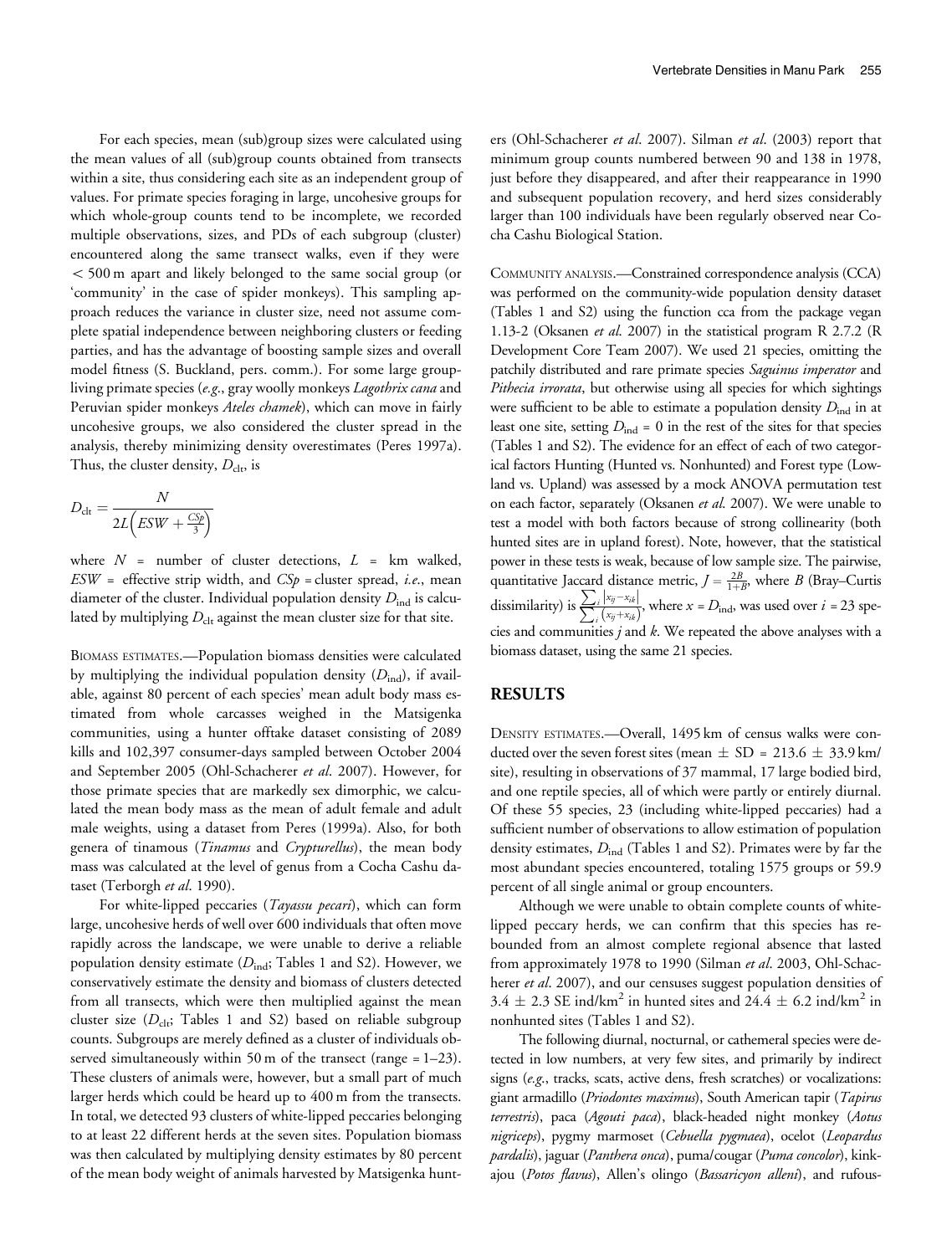For each species, mean (sub)group sizes were calculated using the mean values of all (sub)group counts obtained from transects within a site, thus considering each site as an independent group of values. For primate species foraging in large, uncohesive groups for which whole-group counts tend to be incomplete, we recorded multiple observations, sizes, and PDs of each subgroup (cluster) encountered along the same transect walks, even if they were  $<$  500 m apart and likely belonged to the same social group (or 'community' in the case of spider monkeys). This sampling approach reduces the variance in cluster size, need not assume complete spatial independence between neighboring clusters or feeding parties, and has the advantage of boosting sample sizes and overall model fitness (S. Buckland, pers. comm.). For some large groupliving primate species (e.g., gray woolly monkeys Lagothrix cana and Peruvian spider monkeys Ateles chamek), which can move in fairly uncohesive groups, we also considered the cluster spread in the analysis, thereby minimizing density overestimates (Peres 1997a). Thus, the cluster density,  $D_{\text{clt}}$ , is

$$
D_{\rm{clt}} = \frac{N}{2L\left(ESW + \frac{CSp}{3}\right)}
$$

where  $N$  = number of cluster detections,  $L$  = km walked,  $ESW =$  effective strip width, and  $CSp =$  cluster spread, *i.e.*, mean diameter of the cluster. Individual population density  $D<sub>ind</sub>$  is calculated by multiplying  $D_{\text{clt}}$  against the mean cluster size for that site.

BIOMASS ESTIMATES.—Population biomass densities were calculated by multiplying the individual population density  $(D_{ind})$ , if available, against 80 percent of each species' mean adult body mass estimated from whole carcasses weighed in the Matsigenka communities, using a hunter offtake dataset consisting of 2089 kills and 102,397 consumer-days sampled between October 2004 and September 2005 (Ohl-Schacherer et al. 2007). However, for those primate species that are markedly sex dimorphic, we calculated the mean body mass as the mean of adult female and adult male weights, using a dataset from Peres (1999a). Also, for both genera of tinamous (*Tinamus* and *Crypturellus*), the mean body mass was calculated at the level of genus from a Cocha Cashu dataset (Terborgh et al. 1990).

For white-lipped peccaries (*Tayassu pecari*), which can form large, uncohesive herds of well over 600 individuals that often move rapidly across the landscape, we were unable to derive a reliable population density estimate  $(D_{\text{ind}};$  Tables 1 and S2). However, we conservatively estimate the density and biomass of clusters detected from all transects, which were then multiplied against the mean cluster size  $(D_{\text{clt}};$  Tables 1 and S2) based on reliable subgroup counts. Subgroups are merely defined as a cluster of individuals observed simultaneously within 50 m of the transect (range = 1–23). These clusters of animals were, however, but a small part of much larger herds which could be heard up to 400 m from the transects. In total, we detected 93 clusters of white-lipped peccaries belonging to at least 22 different herds at the seven sites. Population biomass was then calculated by multiplying density estimates by 80 percent of the mean body weight of animals harvested by Matsigenka hunters (Ohl-Schacherer et al. 2007). Silman et al. (2003) report that minimum group counts numbered between 90 and 138 in 1978, just before they disappeared, and after their reappearance in 1990 and subsequent population recovery, and herd sizes considerably larger than 100 individuals have been regularly observed near Cocha Cashu Biological Station.

COMMUNITY ANALYSIS.—Constrained correspondence analysis (CCA) was performed on the community-wide population density dataset (Tables 1 and S2) using the function cca from the package vegan 1.13-2 (Oksanen et al. 2007) in the statistical program R 2.7.2 (R Development Core Team 2007). We used 21 species, omitting the patchily distributed and rare primate species Saguinus imperator and Pithecia irrorata, but otherwise using all species for which sightings were sufficient to be able to estimate a population density  $D<sub>ind</sub>$  in at least one site, setting  $D_{ind} = 0$  in the rest of the sites for that species (Tables 1 and S2). The evidence for an effect of each of two categorical factors Hunting (Hunted vs. Nonhunted) and Forest type (Lowland vs. Upland) was assessed by a mock ANOVA permutation test on each factor, separately (Oksanen et al. 2007). We were unable to test a model with both factors because of strong collinearity (both hunted sites are in upland forest). Note, however, that the statistical power in these tests is weak, because of low sample size. The pairwise, quantitative Jaccard distance metric,  $J = \frac{2B}{1+B}$ , where B (Bray–Curtis dissimilarity) is ىمە<br>ح  $\sum_i |x_{ij}-x_{ik}|$  $\frac{i}{i} \frac{y_i}{(x_{ij}+x_{ik})}$ , where  $x = D_{\text{ind}}$ , was used over  $i = 23$  species and communities  $j$  and  $k$ . We repeated the above analyses with a biomass dataset, using the same 21 species.

### RESULTS

DENSITY ESTIMATES.—Overall, 1495 km of census walks were conducted over the seven forest sites (mean  $\pm$  SD = 213.6  $\pm$  33.9 km/ site), resulting in observations of 37 mammal, 17 large bodied bird, and one reptile species, all of which were partly or entirely diurnal. Of these 55 species, 23 (including white-lipped peccaries) had a sufficient number of observations to allow estimation of population density estimates,  $D_{\text{ind}}$  (Tables 1 and S2). Primates were by far the most abundant species encountered, totaling 1575 groups or 59.9 percent of all single animal or group encounters.

Although we were unable to obtain complete counts of whitelipped peccary herds, we can confirm that this species has rebounded from an almost complete regional absence that lasted from approximately 1978 to 1990 (Silman et al. 2003, Ohl-Schacherer et al. 2007), and our censuses suggest population densities of  $3.4 \pm 2.3$  SE ind/km<sup>2</sup> in hunted sites and  $24.4 \pm 6.2$  ind/km<sup>2</sup> in nonhunted sites (Tables 1 and S2).

The following diurnal, nocturnal, or cathemeral species were detected in low numbers, at very few sites, and primarily by indirect signs (e.g., tracks, scats, active dens, fresh scratches) or vocalizations: giant armadillo (Priodontes maximus), South American tapir (Tapirus terrestris), paca (Agouti paca), black-headed night monkey (Aotus nigriceps), pygmy marmoset (Cebuella pygmaea), ocelot (Leopardus pardalis), jaguar (Panthera onca), puma/cougar (Puma concolor), kinkajou (Potos flavus), Allen's olingo (Bassaricyon alleni), and rufous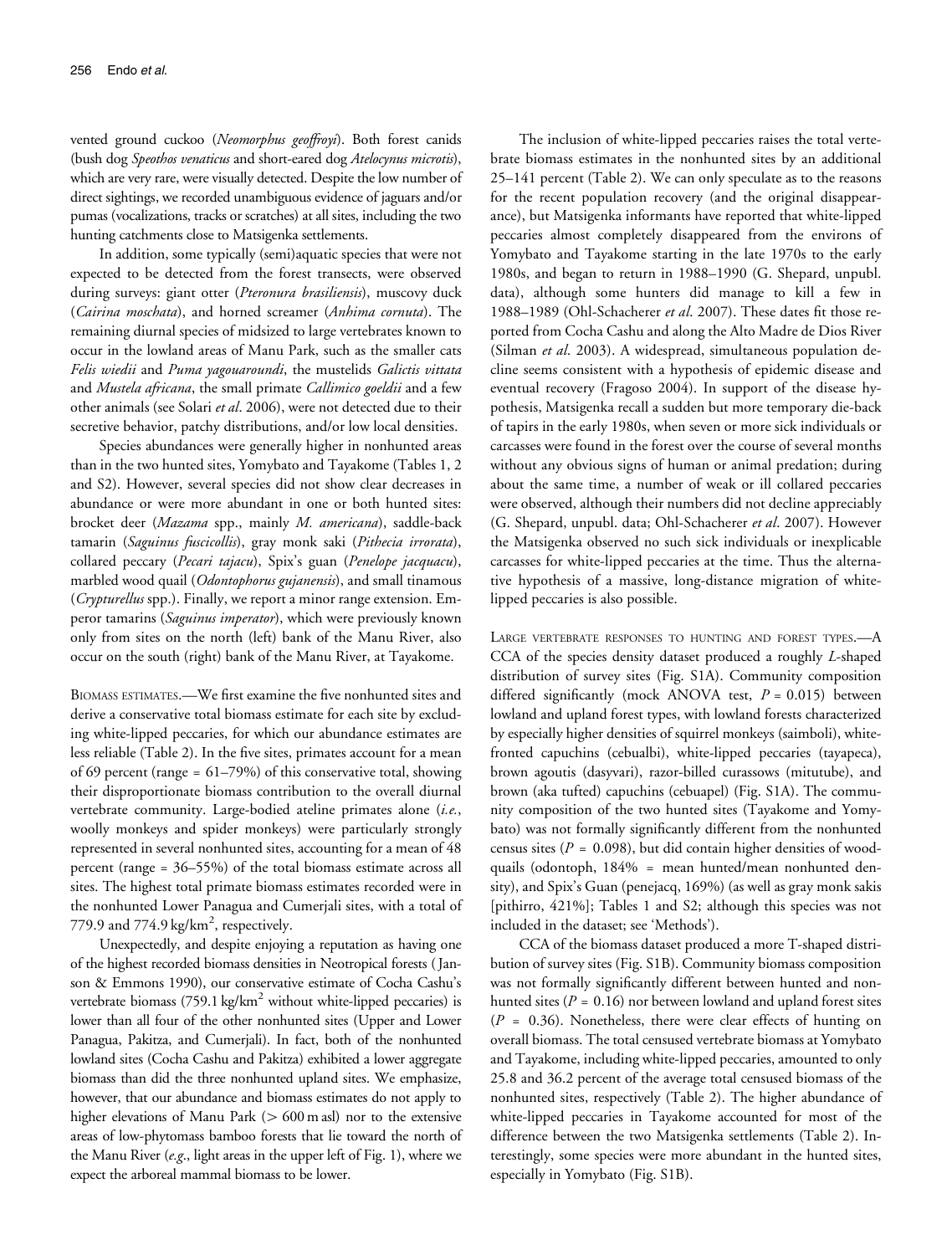vented ground cuckoo (Neomorphus geoffroyi). Both forest canids (bush dog Speothos venaticus and short-eared dog Atelocynus microtis), which are very rare, were visually detected. Despite the low number of direct sightings, we recorded unambiguous evidence of jaguars and/or pumas (vocalizations, tracks or scratches) at all sites, including the two hunting catchments close to Matsigenka settlements.

In addition, some typically (semi)aquatic species that were not expected to be detected from the forest transects, were observed during surveys: giant otter (Pteronura brasiliensis), muscovy duck (Cairina moschata), and horned screamer (Anhima cornuta). The remaining diurnal species of midsized to large vertebrates known to occur in the lowland areas of Manu Park, such as the smaller cats Felis wiedii and Puma yagouaroundi, the mustelids Galictis vittata and Mustela africana, the small primate Callimico goeldii and a few other animals (see Solari et al. 2006), were not detected due to their secretive behavior, patchy distributions, and/or low local densities.

Species abundances were generally higher in nonhunted areas than in the two hunted sites, Yomybato and Tayakome (Tables 1, 2 and S2). However, several species did not show clear decreases in abundance or were more abundant in one or both hunted sites: brocket deer (Mazama spp., mainly M. americana), saddle-back tamarin (Saguinus fuscicollis), gray monk saki (Pithecia irrorata), collared peccary (Pecari tajacu), Spix's guan (Penelope jacquacu), marbled wood quail (*Odontophorus gujanensis*), and small tinamous (Crypturellus spp.). Finally, we report a minor range extension. Emperor tamarins (Saguinus imperator), which were previously known only from sites on the north (left) bank of the Manu River, also occur on the south (right) bank of the Manu River, at Tayakome.

BIOMASS ESTIMATES.—We first examine the five nonhunted sites and derive a conservative total biomass estimate for each site by excluding white-lipped peccaries, for which our abundance estimates are less reliable (Table 2). In the five sites, primates account for a mean of 69 percent (range = 61–79%) of this conservative total, showing their disproportionate biomass contribution to the overall diurnal vertebrate community. Large-bodied ateline primates alone  $(i.e.,$ woolly monkeys and spider monkeys) were particularly strongly represented in several nonhunted sites, accounting for a mean of 48 percent (range = 36–55%) of the total biomass estimate across all sites. The highest total primate biomass estimates recorded were in the nonhunted Lower Panagua and Cumerjali sites, with a total of 779.9 and 774.9  $\text{kg}/\text{km}^2$ , respectively.

Unexpectedly, and despite enjoying a reputation as having one of the highest recorded biomass densities in Neotropical forests ( Janson & Emmons 1990), our conservative estimate of Cocha Cashu's vertebrate biomass (759.1 kg/km<sup>2</sup> without white-lipped peccaries) is lower than all four of the other nonhunted sites (Upper and Lower Panagua, Pakitza, and Cumerjali). In fact, both of the nonhunted lowland sites (Cocha Cashu and Pakitza) exhibited a lower aggregate biomass than did the three nonhunted upland sites. We emphasize, however, that our abundance and biomass estimates do not apply to higher elevations of Manu Park ( $> 600$  m asl) nor to the extensive areas of low-phytomass bamboo forests that lie toward the north of the Manu River (e.g., light areas in the upper left of Fig. 1), where we expect the arboreal mammal biomass to be lower.

The inclusion of white-lipped peccaries raises the total vertebrate biomass estimates in the nonhunted sites by an additional 25–141 percent (Table 2). We can only speculate as to the reasons for the recent population recovery (and the original disappearance), but Matsigenka informants have reported that white-lipped peccaries almost completely disappeared from the environs of Yomybato and Tayakome starting in the late 1970s to the early 1980s, and began to return in 1988–1990 (G. Shepard, unpubl. data), although some hunters did manage to kill a few in 1988–1989 (Ohl-Schacherer et al. 2007). These dates fit those reported from Cocha Cashu and along the Alto Madre de Dios River (Silman et al. 2003). A widespread, simultaneous population decline seems consistent with a hypothesis of epidemic disease and eventual recovery (Fragoso 2004). In support of the disease hypothesis, Matsigenka recall a sudden but more temporary die-back of tapirs in the early 1980s, when seven or more sick individuals or carcasses were found in the forest over the course of several months without any obvious signs of human or animal predation; during about the same time, a number of weak or ill collared peccaries were observed, although their numbers did not decline appreciably (G. Shepard, unpubl. data; Ohl-Schacherer et al. 2007). However the Matsigenka observed no such sick individuals or inexplicable carcasses for white-lipped peccaries at the time. Thus the alternative hypothesis of a massive, long-distance migration of whitelipped peccaries is also possible.

LARGE VERTEBRATE RESPONSES TO HUNTING AND FOREST TYPES.—A CCA of the species density dataset produced a roughly L-shaped distribution of survey sites (Fig. S1A). Community composition differed significantly (mock ANOVA test,  $P = 0.015$ ) between lowland and upland forest types, with lowland forests characterized by especially higher densities of squirrel monkeys (saimboli), whitefronted capuchins (cebualbi), white-lipped peccaries (tayapeca), brown agoutis (dasyvari), razor-billed curassows (mitutube), and brown (aka tufted) capuchins (cebuapel) (Fig. S1A). The community composition of the two hunted sites (Tayakome and Yomybato) was not formally significantly different from the nonhunted census sites ( $P = 0.098$ ), but did contain higher densities of woodquails (odontoph, 184% = mean hunted/mean nonhunted density), and Spix's Guan (penejacq, 169%) (as well as gray monk sakis [pithirro, 421%]; Tables 1 and S2; although this species was not included in the dataset; see 'Methods').

CCA of the biomass dataset produced a more T-shaped distribution of survey sites (Fig. S1B). Community biomass composition was not formally significantly different between hunted and nonhunted sites ( $P = 0.16$ ) nor between lowland and upland forest sites  $(P = 0.36)$ . Nonetheless, there were clear effects of hunting on overall biomass. The total censused vertebrate biomass at Yomybato and Tayakome, including white-lipped peccaries, amounted to only 25.8 and 36.2 percent of the average total censused biomass of the nonhunted sites, respectively (Table 2). The higher abundance of white-lipped peccaries in Tayakome accounted for most of the difference between the two Matsigenka settlements (Table 2). Interestingly, some species were more abundant in the hunted sites, especially in Yomybato (Fig. S1B).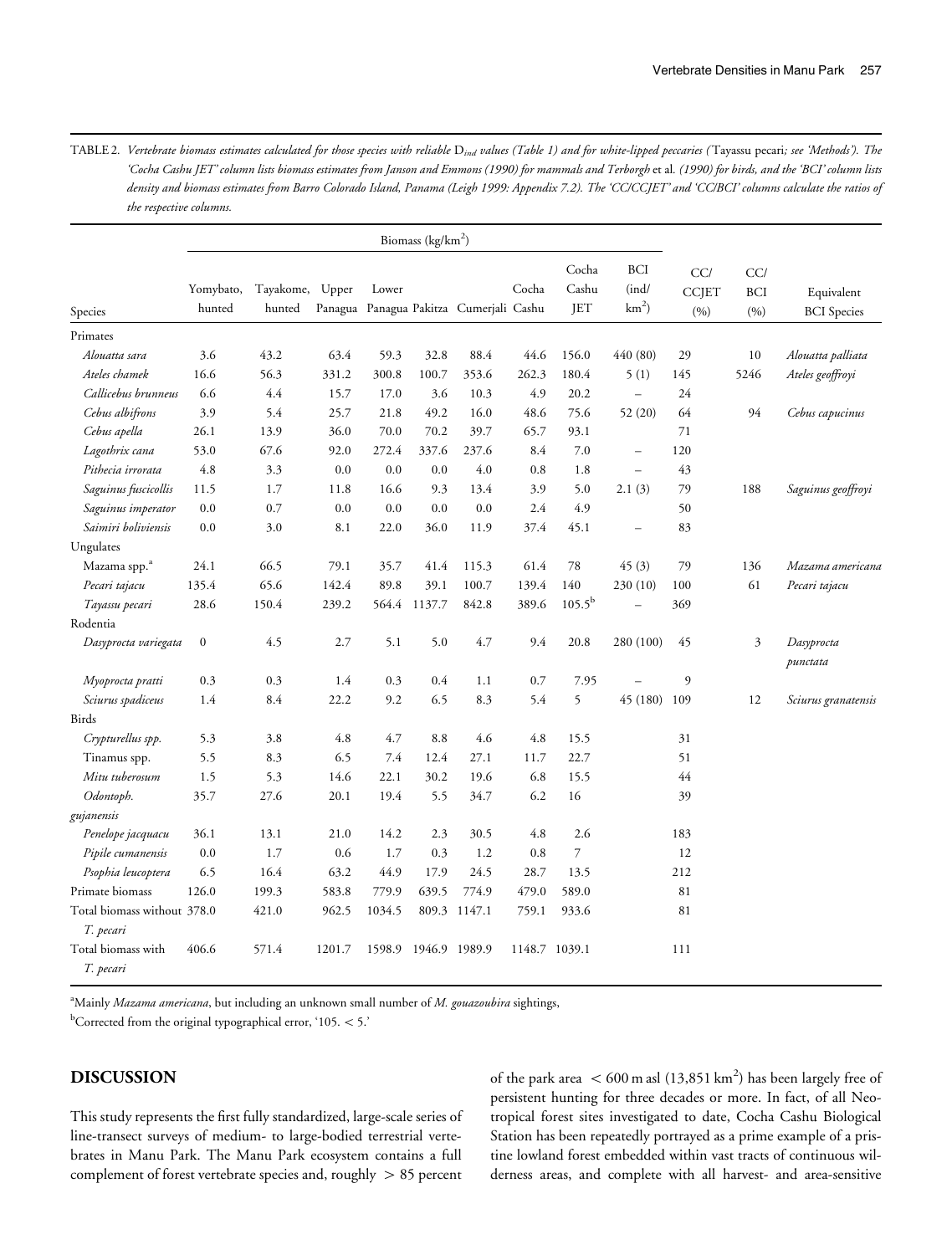TABLE 2. Vertebrate biomass estimates calculated for those species with reliable D<sub>ind</sub> values (Table 1) and for white-lipped peccaries (Tayassu pecari; see 'Methods'). The 'Cocha Cashu JET' column lists biomass estimates from Janson and Emmons (1990) for mammals and Terborgh et al. (1990) for birds, and the 'BCI' column lists density and biomass estimates from Barro Colorado Island, Panama (Leigh 1999: Appendix 7.2). The 'CC/CCJET' and 'CC/BCI' columns calculate the ratios of the respective columns.

|                                 | Biomass ( $\text{kg}/\text{km}^2$ ) |                           |        |        |               |                                         |               |                       |                          |                            |                          |                                  |
|---------------------------------|-------------------------------------|---------------------------|--------|--------|---------------|-----------------------------------------|---------------|-----------------------|--------------------------|----------------------------|--------------------------|----------------------------------|
| Species                         | Yomybato,<br>hunted                 | Tayakome, Upper<br>hunted |        | Lower  |               | Panagua Panagua Pakitza Cumerjali Cashu | Cocha         | Cocha<br>Cashu<br>JET | BCI<br>(ind/<br>$km^2$ ) | CC/<br><b>CCJET</b><br>(%) | CC/<br><b>BCI</b><br>(9) | Equivalent<br><b>BCI</b> Species |
| Primates                        |                                     |                           |        |        |               |                                         |               |                       |                          |                            |                          |                                  |
| Alouatta sara                   | 3.6                                 | 43.2                      | 63.4   | 59.3   | 32.8          | 88.4                                    | 44.6          | 156.0                 | 440 (80)                 | 29                         | 10                       | Alouatta palliata                |
| Ateles chamek                   | 16.6                                | 56.3                      | 331.2  | 300.8  | 100.7         | 353.6                                   | 262.3         | 180.4                 | 5(1)                     | 145                        | 5246                     | Ateles geoffroyi                 |
| Callicebus brunneus             | 6.6                                 | 4.4                       | 15.7   | 17.0   | 3.6           | 10.3                                    | 4.9           | 20.2                  | $\qquad \qquad -$        | 24                         |                          |                                  |
| Cebus albifrons                 | 3.9                                 | 5.4                       | 25.7   | 21.8   | 49.2          | 16.0                                    | 48.6          | 75.6                  | 52(20)                   | 64                         | 94                       | Cebus capucinus                  |
| Cebus apella                    | 26.1                                | 13.9                      | 36.0   | 70.0   | 70.2          | 39.7                                    | 65.7          | 93.1                  |                          | 71                         |                          |                                  |
| Lagothrix cana                  | 53.0                                | 67.6                      | 92.0   | 272.4  | 337.6         | 237.6                                   | 8.4           | 7.0                   | $\qquad \qquad -$        | 120                        |                          |                                  |
| Pithecia irrorata               | 4.8                                 | 3.3                       | 0.0    | 0.0    | 0.0           | 4.0                                     | 0.8           | 1.8                   | $\equiv$                 | 43                         |                          |                                  |
| Saguinus fuscicollis            | 11.5                                | 1.7                       | 11.8   | 16.6   | 9.3           | 13.4                                    | 3.9           | 5.0                   | 2.1(3)                   | 79                         | 188                      | Saguinus geoffroyi               |
| Saguinus imperator              | 0.0                                 | 0.7                       | 0.0    | 0.0    | 0.0           | 0.0                                     | 2.4           | 4.9                   |                          | 50                         |                          |                                  |
| Saimiri boliviensis             | 0.0                                 | 3.0                       | 8.1    | 22.0   | 36.0          | 11.9                                    | 37.4          | 45.1                  |                          | 83                         |                          |                                  |
| Ungulates                       |                                     |                           |        |        |               |                                         |               |                       |                          |                            |                          |                                  |
| Mazama spp. <sup>a</sup>        | 24.1                                | 66.5                      | 79.1   | 35.7   | 41.4          | 115.3                                   | 61.4          | 78                    | 45(3)                    | 79                         | 136                      | Mazama americana                 |
| Pecari tajacu                   | 135.4                               | 65.6                      | 142.4  | 89.8   | 39.1          | 100.7                                   | 139.4         | 140                   | 230 (10)                 | 100                        | 61                       | Pecari tajacu                    |
| Tayassu pecari                  | 28.6                                | 150.4                     | 239.2  | 564.4  | 1137.7        | 842.8                                   | 389.6         | $105.5^{b}$           | $\equiv$                 | 369                        |                          |                                  |
| Rodentia                        |                                     |                           |        |        |               |                                         |               |                       |                          |                            |                          |                                  |
| Dasyprocta variegata            | $\boldsymbol{0}$                    | 4.5                       | 2.7    | 5.1    | 5.0           | 4.7                                     | 9.4           | 20.8                  | 280 (100)                | 45                         | 3                        | Dasyprocta<br>punctata           |
| Myoprocta pratti                | 0.3                                 | 0.3                       | 1.4    | 0.3    | 0.4           | 1.1                                     | 0.7           | 7.95                  |                          | 9                          |                          |                                  |
| Sciurus spadiceus               | 1.4                                 | 8.4                       | 22.2   | 9.2    | 6.5           | 8.3                                     | 5.4           | 5                     | 45 (180)                 | 109                        | 12                       | Sciurus granatensis              |
| Birds                           |                                     |                           |        |        |               |                                         |               |                       |                          |                            |                          |                                  |
| Crypturellus spp.               | 5.3                                 | 3.8                       | 4.8    | 4.7    | 8.8           | 4.6                                     | 4.8           | 15.5                  |                          | 31                         |                          |                                  |
| Tinamus spp.                    | 5.5                                 | 8.3                       | 6.5    | 7.4    | 12.4          | 27.1                                    | 11.7          | 22.7                  |                          | 51                         |                          |                                  |
| Mitu tuberosum                  | 1.5                                 | 5.3                       | 14.6   | 22.1   | 30.2          | 19.6                                    | 6.8           | 15.5                  |                          | 44                         |                          |                                  |
| Odontoph.                       | 35.7                                | 27.6                      | 20.1   | 19.4   | 5.5           | 34.7                                    | 6.2           | 16                    |                          | 39                         |                          |                                  |
| gujanensis                      |                                     |                           |        |        |               |                                         |               |                       |                          |                            |                          |                                  |
| Penelope jacquacu               | 36.1                                | 13.1                      | 21.0   | 14.2   | 2.3           | 30.5                                    | 4.8           | 2.6                   |                          | 183                        |                          |                                  |
| Pipile cumanensis               | 0.0                                 | 1.7                       | 0.6    | 1.7    | 0.3           | 1.2                                     | 0.8           | $\overline{7}$        |                          | 12                         |                          |                                  |
| Psophia leucoptera              | 6.5                                 | 16.4                      | 63.2   | 44.9   | 17.9          | 24.5                                    | 28.7          | 13.5                  |                          | 212                        |                          |                                  |
| Primate biomass                 | 126.0                               | 199.3                     | 583.8  | 779.9  | 639.5         | 774.9                                   | 479.0         | 589.0                 |                          | 81                         |                          |                                  |
| Total biomass without 378.0     |                                     | 421.0                     | 962.5  | 1034.5 |               | 809.3 1147.1                            | 759.1         | 933.6                 |                          | 81                         |                          |                                  |
| T. pecari                       |                                     |                           |        |        |               |                                         |               |                       |                          |                            |                          |                                  |
| Total biomass with<br>T. pecari | 406.6                               | 571.4                     | 1201.7 | 1598.9 | 1946.9 1989.9 |                                         | 1148.7 1039.1 |                       |                          | 111                        |                          |                                  |

<sup>a</sup>Mainly *Mazama americana*, but including an unknown small number of *M. gouazoubira* sightings,

<sup>b</sup>Corrected from the original typographical error, '105.  $<$  5.'

### DISCUSSION

This study represents the first fully standardized, large-scale series of line-transect surveys of medium- to large-bodied terrestrial vertebrates in Manu Park. The Manu Park ecosystem contains a full complement of forest vertebrate species and, roughly  $> 85$  percent

of the park area  $< 600 \text{ m}$  asl  $(13,851 \text{ km}^2)$  has been largely free of persistent hunting for three decades or more. In fact, of all Neotropical forest sites investigated to date, Cocha Cashu Biological Station has been repeatedly portrayed as a prime example of a pristine lowland forest embedded within vast tracts of continuous wilderness areas, and complete with all harvest- and area-sensitive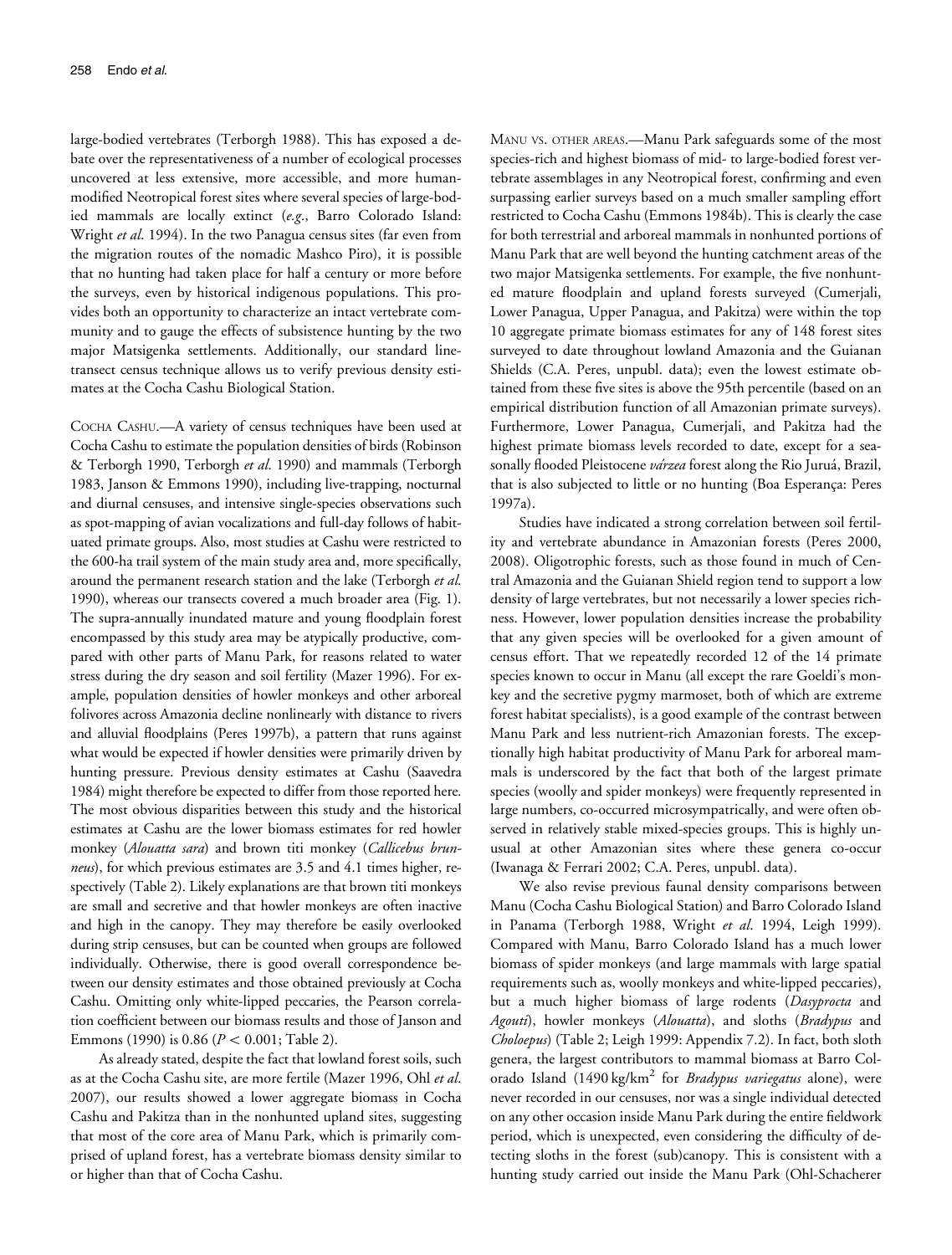large-bodied vertebrates (Terborgh 1988). This has exposed a debate over the representativeness of a number of ecological processes uncovered at less extensive, more accessible, and more humanmodified Neotropical forest sites where several species of large-bodied mammals are locally extinct (e.g., Barro Colorado Island: Wright et al. 1994). In the two Panagua census sites (far even from the migration routes of the nomadic Mashco Piro), it is possible that no hunting had taken place for half a century or more before the surveys, even by historical indigenous populations. This provides both an opportunity to characterize an intact vertebrate community and to gauge the effects of subsistence hunting by the two major Matsigenka settlements. Additionally, our standard linetransect census technique allows us to verify previous density estimates at the Cocha Cashu Biological Station.

COCHA CASHU.—A variety of census techniques have been used at Cocha Cashu to estimate the population densities of birds (Robinson & Terborgh 1990, Terborgh et al. 1990) and mammals (Terborgh 1983, Janson & Emmons 1990), including live-trapping, nocturnal and diurnal censuses, and intensive single-species observations such as spot-mapping of avian vocalizations and full-day follows of habituated primate groups. Also, most studies at Cashu were restricted to the 600-ha trail system of the main study area and, more specifically, around the permanent research station and the lake (Terborgh et al. 1990), whereas our transects covered a much broader area (Fig. 1). The supra-annually inundated mature and young floodplain forest encompassed by this study area may be atypically productive, compared with other parts of Manu Park, for reasons related to water stress during the dry season and soil fertility (Mazer 1996). For example, population densities of howler monkeys and other arboreal folivores across Amazonia decline nonlinearly with distance to rivers and alluvial floodplains (Peres 1997b), a pattern that runs against what would be expected if howler densities were primarily driven by hunting pressure. Previous density estimates at Cashu (Saavedra 1984) might therefore be expected to differ from those reported here. The most obvious disparities between this study and the historical estimates at Cashu are the lower biomass estimates for red howler monkey (Alouatta sara) and brown titi monkey (Callicebus brunneus), for which previous estimates are 3.5 and 4.1 times higher, respectively (Table 2). Likely explanations are that brown titi monkeys are small and secretive and that howler monkeys are often inactive and high in the canopy. They may therefore be easily overlooked during strip censuses, but can be counted when groups are followed individually. Otherwise, there is good overall correspondence between our density estimates and those obtained previously at Cocha Cashu. Omitting only white-lipped peccaries, the Pearson correlation coefficient between our biomass results and those of Janson and Emmons (1990) is 0.86 ( $P < 0.001$ ; Table 2).

As already stated, despite the fact that lowland forest soils, such as at the Cocha Cashu site, are more fertile (Mazer 1996, Ohl et al. 2007), our results showed a lower aggregate biomass in Cocha Cashu and Pakitza than in the nonhunted upland sites, suggesting that most of the core area of Manu Park, which is primarily comprised of upland forest, has a vertebrate biomass density similar to or higher than that of Cocha Cashu.

MANU VS. OTHER AREAS.—Manu Park safeguards some of the most species-rich and highest biomass of mid- to large-bodied forest vertebrate assemblages in any Neotropical forest, confirming and even surpassing earlier surveys based on a much smaller sampling effort restricted to Cocha Cashu (Emmons 1984b). This is clearly the case for both terrestrial and arboreal mammals in nonhunted portions of Manu Park that are well beyond the hunting catchment areas of the two major Matsigenka settlements. For example, the five nonhunted mature floodplain and upland forests surveyed (Cumerjali, Lower Panagua, Upper Panagua, and Pakitza) were within the top 10 aggregate primate biomass estimates for any of 148 forest sites surveyed to date throughout lowland Amazonia and the Guianan Shields (C.A. Peres, unpubl. data); even the lowest estimate obtained from these five sites is above the 95th percentile (based on an empirical distribution function of all Amazonian primate surveys). Furthermore, Lower Panagua, Cumerjali, and Pakitza had the highest primate biomass levels recorded to date, except for a seasonally flooded Pleistocene várzea forest along the Rio Juruá, Brazil, that is also subjected to little or no hunting (Boa Esperança: Peres 1997a).

Studies have indicated a strong correlation between soil fertility and vertebrate abundance in Amazonian forests (Peres 2000, 2008). Oligotrophic forests, such as those found in much of Central Amazonia and the Guianan Shield region tend to support a low density of large vertebrates, but not necessarily a lower species richness. However, lower population densities increase the probability that any given species will be overlooked for a given amount of census effort. That we repeatedly recorded 12 of the 14 primate species known to occur in Manu (all except the rare Goeldi's monkey and the secretive pygmy marmoset, both of which are extreme forest habitat specialists), is a good example of the contrast between Manu Park and less nutrient-rich Amazonian forests. The exceptionally high habitat productivity of Manu Park for arboreal mammals is underscored by the fact that both of the largest primate species (woolly and spider monkeys) were frequently represented in large numbers, co-occurred microsympatrically, and were often observed in relatively stable mixed-species groups. This is highly unusual at other Amazonian sites where these genera co-occur (Iwanaga & Ferrari 2002; C.A. Peres, unpubl. data).

We also revise previous faunal density comparisons between Manu (Cocha Cashu Biological Station) and Barro Colorado Island in Panama (Terborgh 1988, Wright et al. 1994, Leigh 1999). Compared with Manu, Barro Colorado Island has a much lower biomass of spider monkeys (and large mammals with large spatial requirements such as, woolly monkeys and white-lipped peccaries), but a much higher biomass of large rodents (Dasyprocta and Agouti), howler monkeys (Alouatta), and sloths (Bradypus and Choloepus) (Table 2; Leigh 1999: Appendix 7.2). In fact, both sloth genera, the largest contributors to mammal biomass at Barro Colorado Island  $(1490 \text{ kg/km}^2 \text{ for } \text{Bradypus} \text{ varies}$  alone), were never recorded in our censuses, nor was a single individual detected on any other occasion inside Manu Park during the entire fieldwork period, which is unexpected, even considering the difficulty of detecting sloths in the forest (sub)canopy. This is consistent with a hunting study carried out inside the Manu Park (Ohl-Schacherer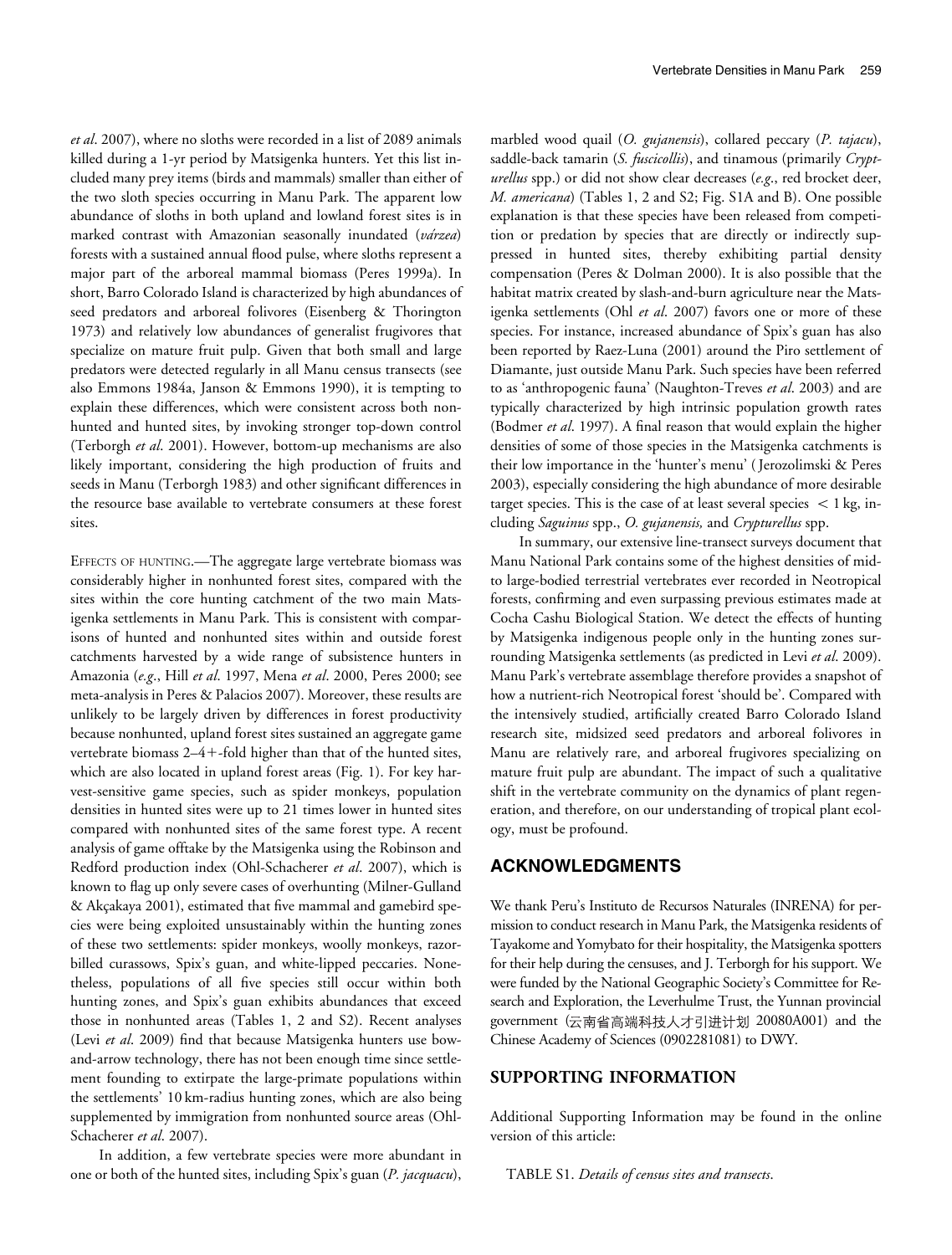et al. 2007), where no sloths were recorded in a list of 2089 animals killed during a 1-yr period by Matsigenka hunters. Yet this list included many prey items (birds and mammals) smaller than either of the two sloth species occurring in Manu Park. The apparent low abundance of sloths in both upland and lowland forest sites is in marked contrast with Amazonian seasonally inundated (várzea) forests with a sustained annual flood pulse, where sloths represent a major part of the arboreal mammal biomass (Peres 1999a). In short, Barro Colorado Island is characterized by high abundances of seed predators and arboreal folivores (Eisenberg & Thorington 1973) and relatively low abundances of generalist frugivores that specialize on mature fruit pulp. Given that both small and large predators were detected regularly in all Manu census transects (see also Emmons 1984a, Janson & Emmons 1990), it is tempting to explain these differences, which were consistent across both nonhunted and hunted sites, by invoking stronger top-down control (Terborgh et al. 2001). However, bottom-up mechanisms are also likely important, considering the high production of fruits and seeds in Manu (Terborgh 1983) and other significant differences in the resource base available to vertebrate consumers at these forest sites.

EFFECTS OF HUNTING.—The aggregate large vertebrate biomass was considerably higher in nonhunted forest sites, compared with the sites within the core hunting catchment of the two main Matsigenka settlements in Manu Park. This is consistent with comparisons of hunted and nonhunted sites within and outside forest catchments harvested by a wide range of subsistence hunters in Amazonia (e.g., Hill et al. 1997, Mena et al. 2000, Peres 2000; see meta-analysis in Peres & Palacios 2007). Moreover, these results are unlikely to be largely driven by differences in forest productivity because nonhunted, upland forest sites sustained an aggregate game vertebrate biomass  $2-4+$ -fold higher than that of the hunted sites, which are also located in upland forest areas (Fig. 1). For key harvest-sensitive game species, such as spider monkeys, population densities in hunted sites were up to 21 times lower in hunted sites compared with nonhunted sites of the same forest type. A recent analysis of game offtake by the Matsigenka using the Robinson and Redford production index (Ohl-Schacherer et al. 2007), which is known to flag up only severe cases of overhunting (Milner-Gulland & Akçakaya 2001), estimated that five mammal and gamebird species were being exploited unsustainably within the hunting zones of these two settlements: spider monkeys, woolly monkeys, razorbilled curassows, Spix's guan, and white-lipped peccaries. Nonetheless, populations of all five species still occur within both hunting zones, and Spix's guan exhibits abundances that exceed those in nonhunted areas (Tables 1, 2 and S2). Recent analyses (Levi et al. 2009) find that because Matsigenka hunters use bowand-arrow technology, there has not been enough time since settlement founding to extirpate the large-primate populations within the settlements' 10 km-radius hunting zones, which are also being supplemented by immigration from nonhunted source areas (Ohl-Schacherer et al. 2007).

In addition, a few vertebrate species were more abundant in one or both of the hunted sites, including Spix's guan (P. jacquacu),

marbled wood quail (O. gujanensis), collared peccary (P. tajacu), saddle-back tamarin (S. fuscicollis), and tinamous (primarily Crypturellus spp.) or did not show clear decreases (e.g., red brocket deer, M. americana) (Tables 1, 2 and S2; Fig. S1A and B). One possible explanation is that these species have been released from competition or predation by species that are directly or indirectly suppressed in hunted sites, thereby exhibiting partial density compensation (Peres & Dolman 2000). It is also possible that the habitat matrix created by slash-and-burn agriculture near the Matsigenka settlements (Ohl et al. 2007) favors one or more of these species. For instance, increased abundance of Spix's guan has also been reported by Raez-Luna (2001) around the Piro settlement of Diamante, just outside Manu Park. Such species have been referred to as 'anthropogenic fauna' (Naughton-Treves et al. 2003) and are typically characterized by high intrinsic population growth rates (Bodmer et al. 1997). A final reason that would explain the higher densities of some of those species in the Matsigenka catchments is their low importance in the 'hunter's menu' ( Jerozolimski & Peres 2003), especially considering the high abundance of more desirable target species. This is the case of at least several species  $\langle 1 \text{ kg}, \text{in-} \rangle$ cluding Saguinus spp., O. gujanensis, and Crypturellus spp.

In summary, our extensive line-transect surveys document that Manu National Park contains some of the highest densities of midto large-bodied terrestrial vertebrates ever recorded in Neotropical forests, confirming and even surpassing previous estimates made at Cocha Cashu Biological Station. We detect the effects of hunting by Matsigenka indigenous people only in the hunting zones surrounding Matsigenka settlements (as predicted in Levi et al. 2009). Manu Park's vertebrate assemblage therefore provides a snapshot of how a nutrient-rich Neotropical forest 'should be'. Compared with the intensively studied, artificially created Barro Colorado Island research site, midsized seed predators and arboreal folivores in Manu are relatively rare, and arboreal frugivores specializing on mature fruit pulp are abundant. The impact of such a qualitative shift in the vertebrate community on the dynamics of plant regeneration, and therefore, on our understanding of tropical plant ecology, must be profound.

### ACKNOWLEDGMENTS

We thank Peru's Instituto de Recursos Naturales (INRENA) for permission to conduct research in Manu Park, the Matsigenka residents of Tayakome and Yomybato for their hospitality, the Matsigenka spotters for their help during the censuses, and J. Terborgh for his support. We were funded by the National Geographic Society's Committee for Research and Exploration, the Leverhulme Trust, the Yunnan provincial government (云南省高端科技人才引进计划 20080A001) and the Chinese Academy of Sciences (0902281081) to DWY.

### SUPPORTING INFORMATION

Additional Supporting Information may be found in the online version of this article:

TABLE S1. Details of census sites and transects.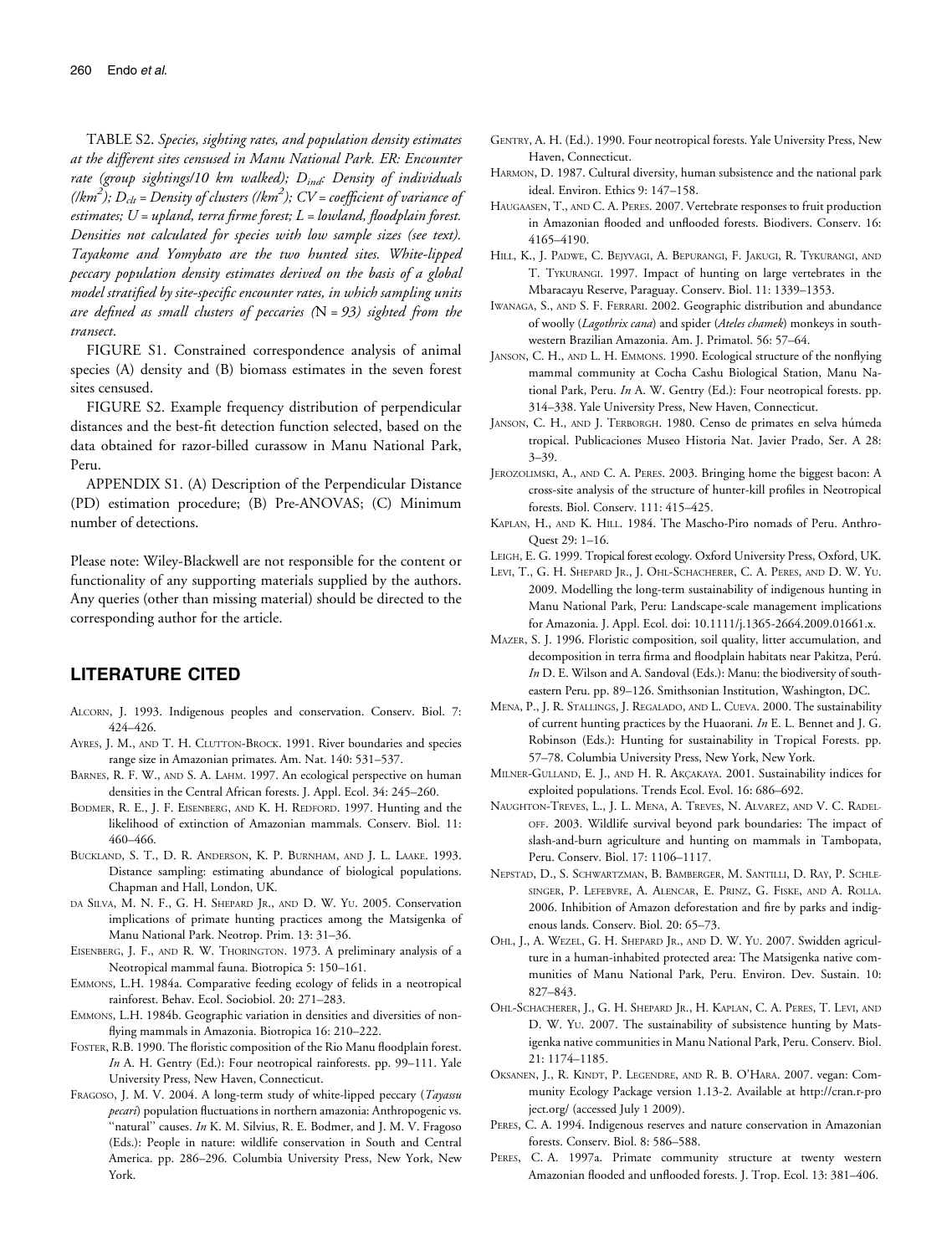TABLE S2. Species, sighting rates, and population density estimates at the different sites censused in Manu National Park. ER: Encounter rate (group sightings/10 km walked);  $D_{ind}$ : Density of individuals (Ikm<sup>2</sup>); D<sub>clt</sub> = Density of clusters (Ikm<sup>2</sup>); CV = coefficient of variance of estimates;  $U = upland$ , terra firme forest;  $L = \text{lowland}$ , floodplain forest. Densities not calculated for species with low sample sizes (see text). Tayakome and Yomybato are the two hunted sites. White-lipped peccary population density estimates derived on the basis of a global model stratified by site-specific encounter rates, in which sampling units are defined as small clusters of peccaries  $(N = 93)$  sighted from the transect.

FIGURE S1. Constrained correspondence analysis of animal species (A) density and (B) biomass estimates in the seven forest sites censused.

FIGURE S2. Example frequency distribution of perpendicular distances and the best-fit detection function selected, based on the data obtained for razor-billed curassow in Manu National Park, Peru.

APPENDIX S1. (A) Description of the Perpendicular Distance (PD) estimation procedure; (B) Pre-ANOVAS; (C) Minimum number of detections.

Please note: Wiley-Blackwell are not responsible for the content or functionality of any supporting materials supplied by the authors. Any queries (other than missing material) should be directed to the corresponding author for the article.

## LITERATURE CITED

- ALCORN, J. 1993. Indigenous peoples and conservation. Conserv. Biol. 7: 424–426.
- AYRES, J. M., AND T. H. CLUTTON-BROCK. 1991. River boundaries and species range size in Amazonian primates. Am. Nat. 140: 531–537.
- BARNES, R. F. W., AND S. A. LAHM. 1997. An ecological perspective on human densities in the Central African forests. J. Appl. Ecol. 34: 245–260.
- BODMER, R. E., J. F. EISENBERG, AND K. H. REDFORD. 1997. Hunting and the likelihood of extinction of Amazonian mammals. Conserv. Biol. 11: 460–466.
- BUCKLAND, S. T., D. R. ANDERSON, K. P. BURNHAM, AND J. L. LAAKE. 1993. Distance sampling: estimating abundance of biological populations. Chapman and Hall, London, UK.
- DA SILVA, M. N. F., G. H. SHEPARD JR., AND D. W. YU. 2005. Conservation implications of primate hunting practices among the Matsigenka of Manu National Park. Neotrop. Prim. 13: 31–36.
- EISENBERG, J. F., AND R. W. THORINGTON. 1973. A preliminary analysis of a Neotropical mammal fauna. Biotropica 5: 150–161.
- EMMONS, L.H. 1984a. Comparative feeding ecology of felids in a neotropical rainforest. Behav. Ecol. Sociobiol. 20: 271–283.
- EMMONS, L.H. 1984b. Geographic variation in densities and diversities of nonflying mammals in Amazonia. Biotropica 16: 210–222.
- FOSTER, R.B. 1990. The floristic composition of the Rio Manu floodplain forest. In A. H. Gentry (Ed.): Four neotropical rainforests. pp. 99–111. Yale University Press, New Haven, Connecticut.
- FRAGOSO, J. M. V. 2004. A long-term study of white-lipped peccary (Tayassu pecari) population fluctuations in northern amazonia: Anthropogenic vs. "natural" causes. In K. M. Silvius, R. E. Bodmer, and J. M. V. Fragoso (Eds.): People in nature: wildlife conservation in South and Central America. pp. 286–296. Columbia University Press, New York, New York.
- GENTRY, A. H. (Ed.). 1990. Four neotropical forests. Yale University Press, New Haven, Connecticut.
- HARMON, D. 1987. Cultural diversity, human subsistence and the national park ideal. Environ. Ethics 9: 147–158.
- HAUGAASEN, T., AND C. A. PERES. 2007. Vertebrate responses to fruit production in Amazonian flooded and unflooded forests. Biodivers. Conserv. 16: 4165–4190.
- HILL, K., J. PADWE, C. BEJYVAGI, A. BEPURANGI, F. JAKUGI, R. TYKURANGI, AND T. TYKURANGI. 1997. Impact of hunting on large vertebrates in the Mbaracayu Reserve, Paraguay. Conserv. Biol. 11: 1339–1353.
- IWANAGA, S., AND S. F. FERRARI. 2002. Geographic distribution and abundance of woolly (Lagothrix cana) and spider (Ateles chamek) monkeys in southwestern Brazilian Amazonia. Am. J. Primatol. 56: 57–64.
- JANSON, C. H., AND L. H. EMMONS. 1990. Ecological structure of the nonflying mammal community at Cocha Cashu Biological Station, Manu National Park, Peru. In A. W. Gentry (Ed.): Four neotropical forests. pp. 314–338. Yale University Press, New Haven, Connecticut.
- JANSON, C. H., AND J. TERBORGH. 1980. Censo de primates en selva húmeda tropical. Publicaciones Museo Historia Nat. Javier Prado, Ser. A 28: 3–39.
- JEROZOLIMSKI, A., AND C. A. PERES. 2003. Bringing home the biggest bacon: A cross-site analysis of the structure of hunter-kill profiles in Neotropical forests. Biol. Conserv. 111: 415–425.
- KAPLAN, H., AND K. HILL. 1984. The Mascho-Piro nomads of Peru. Anthro-Quest 29: 1–16.
- LEIGH, E. G. 1999. Tropical forest ecology. Oxford University Press, Oxford, UK.
- LEVI, T., G. H. SHEPARD JR., J. OHL-SCHACHERER, C. A. PERES, AND D. W. YU. 2009. Modelling the long-term sustainability of indigenous hunting in Manu National Park, Peru: Landscape-scale management implications for Amazonia. J. Appl. Ecol. doi: [10.1111/j.1365-2664.2009.01661.x.](10.1111/j.1365-2664.2009.01661.x)
- MAZER, S. J. 1996. Floristic composition, soil quality, litter accumulation, and decomposition in terra firma and floodplain habitats near Pakitza, Perú. In D. E. Wilson and A. Sandoval (Eds.): Manu: the biodiversity of southeastern Peru. pp. 89–126. Smithsonian Institution, Washington, DC.
- MENA, P., J. R. STALLINGS, J. REGALADO, AND L. CUEVA. 2000. The sustainability of current hunting practices by the Huaorani. In E. L. Bennet and J. G. Robinson (Eds.): Hunting for sustainability in Tropical Forests. pp. 57–78. Columbia University Press, New York, New York.
- MILNER-GULLAND, E. J., AND H. R. AKÇAKAYA. 2001. Sustainability indices for exploited populations. Trends Ecol. Evol. 16: 686–692.
- NAUGHTON-TREVES, L., J. L. MENA, A. TREVES, N. ALVAREZ, AND V. C. RADEL-OFF. 2003. Wildlife survival beyond park boundaries: The impact of slash-and-burn agriculture and hunting on mammals in Tambopata, Peru. Conserv. Biol. 17: 1106–1117.
- NEPSTAD, D., S. SCHWARTZMAN, B. BAMBERGER, M. SANTILLI, D. RAY, P. SCHLE-SINGER, P. LEFEBVRE, A. ALENCAR, E. PRINZ, G. FISKE, AND A. ROLLA. 2006. Inhibition of Amazon deforestation and fire by parks and indigenous lands. Conserv. Biol. 20: 65–73.
- OHL, J., A. WEZEL, G. H. SHEPARD JR., AND D. W. YU. 2007. Swidden agriculture in a human-inhabited protected area: The Matsigenka native communities of Manu National Park, Peru. Environ. Dev. Sustain. 10: 827–843.
- OHL-SCHACHERER, J., G. H. SHEPARD JR., H. KAPLAN, C. A. PERES, T. LEVI, AND D. W. YU. 2007. The sustainability of subsistence hunting by Matsigenka native communities in Manu National Park, Peru. Conserv. Biol. 21: 1174–1185.
- OKSANEN, J., R. KINDT, P. LEGENDRE, AND R. B. O'HARA. 2007. vegan: Community Ecology Package version 1.13-2. Available at [http://cran.r-pro](http://cran.r-project.org/) [ject.org/](http://cran.r-project.org/) (accessed July 1 2009).
- PERES, C. A. 1994. Indigenous reserves and nature conservation in Amazonian forests. Conserv. Biol. 8: 586–588.
- PERES, C. A. 1997a. Primate community structure at twenty western Amazonian flooded and unflooded forests. J. Trop. Ecol. 13: 381–406.